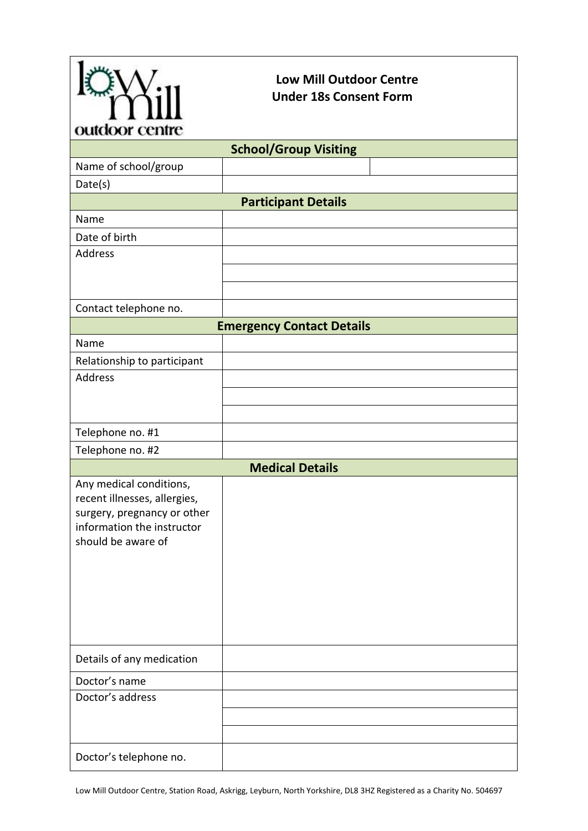

## **Low Mill Outdoor Centre Under 18s Consent Form**

| ournon cenne                                                                                                                               |  |  |
|--------------------------------------------------------------------------------------------------------------------------------------------|--|--|
| <b>School/Group Visiting</b>                                                                                                               |  |  |
| Name of school/group                                                                                                                       |  |  |
| Date(s)                                                                                                                                    |  |  |
| <b>Participant Details</b>                                                                                                                 |  |  |
| Name                                                                                                                                       |  |  |
| Date of birth                                                                                                                              |  |  |
| Address                                                                                                                                    |  |  |
|                                                                                                                                            |  |  |
|                                                                                                                                            |  |  |
| Contact telephone no.                                                                                                                      |  |  |
| <b>Emergency Contact Details</b>                                                                                                           |  |  |
| Name                                                                                                                                       |  |  |
| Relationship to participant                                                                                                                |  |  |
| <b>Address</b>                                                                                                                             |  |  |
|                                                                                                                                            |  |  |
|                                                                                                                                            |  |  |
| Telephone no. #1                                                                                                                           |  |  |
| Telephone no. #2                                                                                                                           |  |  |
| <b>Medical Details</b>                                                                                                                     |  |  |
| Any medical conditions,<br>recent illnesses, allergies,<br>surgery, pregnancy or other<br>information the instructor<br>should be aware of |  |  |
| Details of any medication                                                                                                                  |  |  |
| Doctor's name                                                                                                                              |  |  |
| Doctor's address                                                                                                                           |  |  |
|                                                                                                                                            |  |  |
|                                                                                                                                            |  |  |
| Doctor's telephone no.                                                                                                                     |  |  |